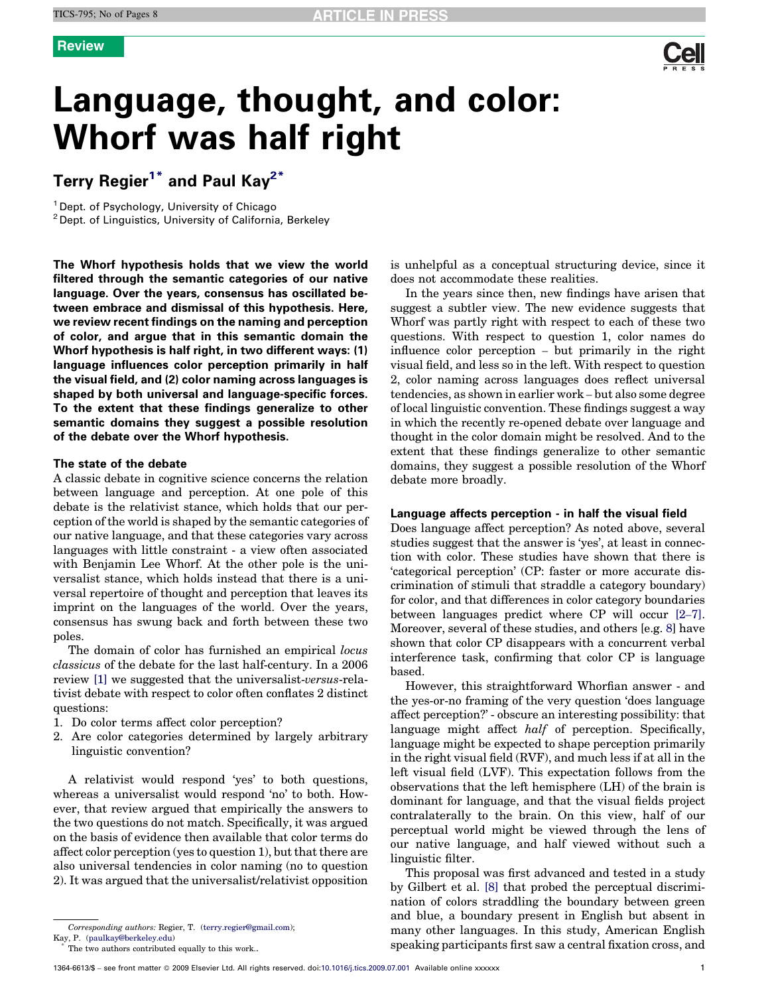

# Language, thought, and color: Whorf was half right

## Terry Regier<sup>1\*</sup> and Paul Kay<sup>2\*</sup>

<sup>1</sup> Dept. of Psychology, University of Chicago <sup>2</sup> Dept. of Linguistics, University of California, Berkeley

The Whorf hypothesis holds that we view the world filtered through the semantic categories of our native language. Over the years, consensus has oscillated between embrace and dismissal of this hypothesis. Here, we review recent findings on the naming and perception of color, and argue that in this semantic domain the Whorf hypothesis is half right, in two different ways: (1) language influences color perception primarily in half the visual field, and (2) color naming across languages is shaped by both universal and language-specific forces. To the extent that these findings generalize to other semantic domains they suggest a possible resolution of the debate over the Whorf hypothesis.

### The state of the debate

A classic debate in cognitive science concerns the relation between language and perception. At one pole of this debate is the relativist stance, which holds that our perception of the world is shaped by the semantic categories of our native language, and that these categories vary across languages with little constraint - a view often associated with Benjamin Lee Whorf. At the other pole is the universalist stance, which holds instead that there is a universal repertoire of thought and perception that leaves its imprint on the languages of the world. Over the years, consensus has swung back and forth between these two poles.

The domain of color has furnished an empirical locus classicus of the debate for the last half-century. In a 2006 review [\[1\]](#page-6-0) we suggested that the universalist-versus-relativist debate with respect to color often conflates 2 distinct questions:

- 1. Do color terms affect color perception?
- 2. Are color categories determined by largely arbitrary linguistic convention?

A relativist would respond 'yes' to both questions, whereas a universalist would respond 'no' to both. However, that review argued that empirically the answers to the two questions do not match. Specifically, it was argued on the basis of evidence then available that color terms do affect color perception (yes to question 1), but that there are also universal tendencies in color naming (no to question 2). It was argued that the universalist/relativist opposition is unhelpful as a conceptual structuring device, since it does not accommodate these realities.

In the years since then, new findings have arisen that suggest a subtler view. The new evidence suggests that Whorf was partly right with respect to each of these two questions. With respect to question 1, color names do influence color perception – but primarily in the right visual field, and less so in the left. With respect to question 2, color naming across languages does reflect universal tendencies, as shown in earlier work – but also some degree of local linguistic convention. These findings suggest a way in which the recently re-opened debate over language and thought in the color domain might be resolved. And to the extent that these findings generalize to other semantic domains, they suggest a possible resolution of the Whorf debate more broadly.

### Language affects perception - in half the visual field

Does language affect perception? As noted above, several studies suggest that the answer is 'yes', at least in connection with color. These studies have shown that there is 'categorical perception' (CP: faster or more accurate discrimination of stimuli that straddle a category boundary) for color, and that differences in color category boundaries between languages predict where CP will occur [2–[7\]](#page-6-0). Moreover, several of these studies, and others [e.g. [8](#page-6-0)] have shown that color CP disappears with a concurrent verbal interference task, confirming that color CP is language based.

However, this straightforward Whorfian answer - and the yes-or-no framing of the very question 'does language affect perception?' - obscure an interesting possibility: that language might affect *half* of perception. Specifically, language might be expected to shape perception primarily in the right visual field (RVF), and much less if at all in the left visual field (LVF). This expectation follows from the observations that the left hemisphere (LH) of the brain is dominant for language, and that the visual fields project contralaterally to the brain. On this view, half of our perceptual world might be viewed through the lens of our native language, and half viewed without such a linguistic filter.

This proposal was first advanced and tested in a study by Gilbert et al. [\[8\]](#page-6-0) that probed the perceptual discrimination of colors straddling the boundary between green and blue, a boundary present in English but absent in many other languages. In this study, American English speaking participants first saw a central fixation cross, and

Corresponding authors: Regier, T. [\(terry.regier@gmail.com](mailto:regier@uchicago.edu)); Kay, P. ([paulkay@berkeley.edu](mailto:paulkay@berkeley.edu))

The two authors contributed equally to this work..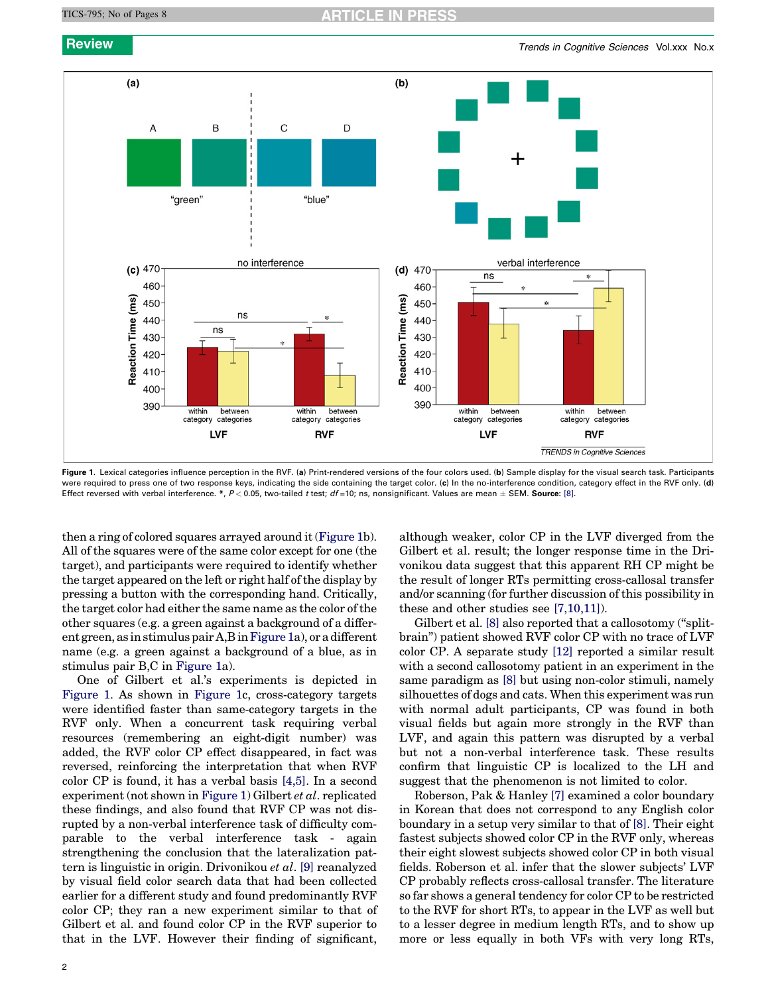

Figure 1. Lexical categories influence perception in the RVF. (a) Print-rendered versions of the four colors used. (b) Sample display for the visual search task. Participants were required to press one of two response keys, indicating the side containing the target color. (c) In the no-interference condition, category effect in the RVF only. (d) Effect reversed with verbal interference. \*,  $P$  < 0.05, two-tailed *t* test; *df* =10; ns, nonsignificant. Values are mean  $\pm$  SEM. **Source**: [\[8\].](#page-6-0)

then a ring of colored squares arrayed around it (Figure 1b). All of the squares were of the same color except for one (the target), and participants were required to identify whether the target appeared on the left or right half of the display by pressing a button with the corresponding hand. Critically, the target color had either the same name as the color of the other squares (e.g. a green against a background of a different green, as in stimulus pair A,B inFigure 1a), or a different name (e.g. a green against a background of a blue, as in stimulus pair B,C in Figure 1a).

One of Gilbert et al.'s experiments is depicted in Figure 1. As shown in Figure 1c, cross-category targets were identified faster than same-category targets in the RVF only. When a concurrent task requiring verbal resources (remembering an eight-digit number) was added, the RVF color CP effect disappeared, in fact was reversed, reinforcing the interpretation that when RVF color CP is found, it has a verbal basis [\[4,5\]](#page-6-0). In a second experiment (not shown in Figure 1) Gilbert et al. replicated these findings, and also found that RVF CP was not disrupted by a non-verbal interference task of difficulty comparable to the verbal interference task - again strengthening the conclusion that the lateralization pattern is linguistic in origin. Drivonikou et al. [\[9\]](#page-6-0) reanalyzed by visual field color search data that had been collected earlier for a different study and found predominantly RVF color CP; they ran a new experiment similar to that of Gilbert et al. and found color CP in the RVF superior to that in the LVF. However their finding of significant, although weaker, color CP in the LVF diverged from the Gilbert et al. result; the longer response time in the Drivonikou data suggest that this apparent RH CP might be the result of longer RTs permitting cross-callosal transfer and/or scanning (for further discussion of this possibility in these and other studies see [\[7,10,11\]](#page-6-0)).

Gilbert et al. [\[8\]](#page-6-0) also reported that a callosotomy ("splitbrain'') patient showed RVF color CP with no trace of LVF color CP. A separate study [\[12\]](#page-6-0) reported a similar result with a second callosotomy patient in an experiment in the same paradigm as [\[8\]](#page-6-0) but using non-color stimuli, namely silhouettes of dogs and cats. When this experiment was run with normal adult participants, CP was found in both visual fields but again more strongly in the RVF than LVF, and again this pattern was disrupted by a verbal but not a non-verbal interference task. These results confirm that linguistic CP is localized to the LH and suggest that the phenomenon is not limited to color.

Roberson, Pak & Hanley [\[7\]](#page-6-0) examined a color boundary in Korean that does not correspond to any English color boundary in a setup very similar to that of [\[8\]](#page-6-0). Their eight fastest subjects showed color CP in the RVF only, whereas their eight slowest subjects showed color CP in both visual fields. Roberson et al. infer that the slower subjects' LVF CP probably reflects cross-callosal transfer. The literature so far shows a general tendency for color CP to be restricted to the RVF for short RTs, to appear in the LVF as well but to a lesser degree in medium length RTs, and to show up more or less equally in both VFs with very long RTs,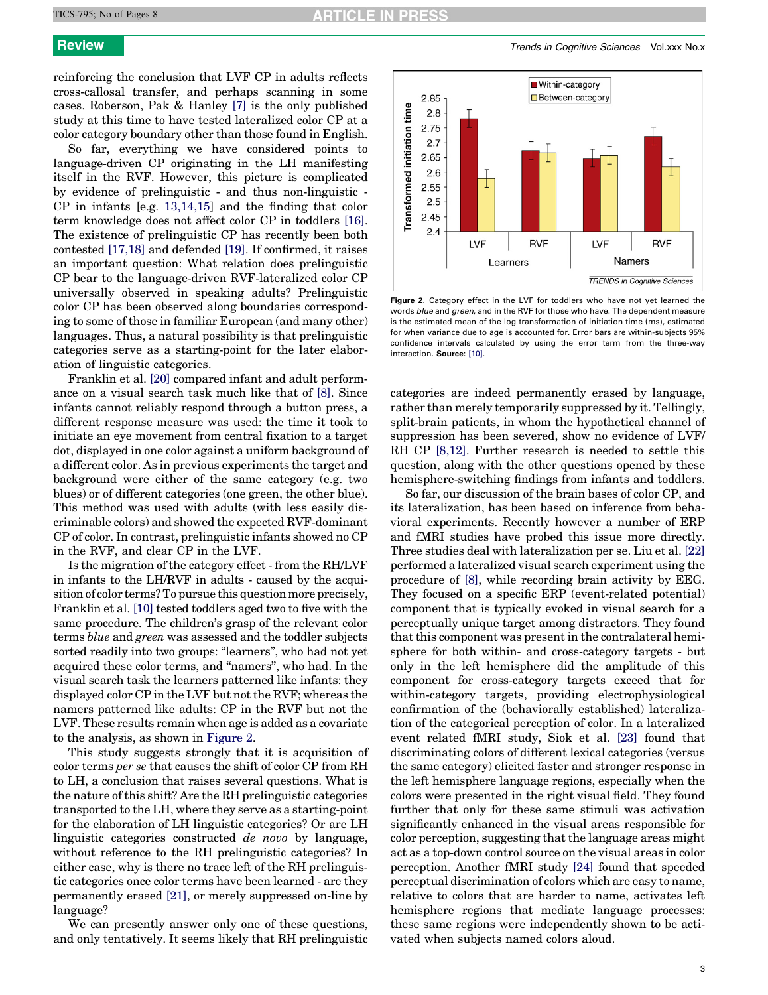reinforcing the conclusion that LVF CP in adults reflects cross-callosal transfer, and perhaps scanning in some cases. Roberson, Pak & Hanley [\[7\]](#page-6-0) is the only published study at this time to have tested lateralized color CP at a color category boundary other than those found in English.

So far, everything we have considered points to language-driven CP originating in the LH manifesting itself in the RVF. However, this picture is complicated by evidence of prelinguistic - and thus non-linguistic - CP in infants [e.g. [13,14,15\]](#page-6-0) and the finding that color term knowledge does not affect color CP in toddlers [\[16\]](#page-6-0). The existence of prelinguistic CP has recently been both contested [\[17,18\]](#page-6-0) and defended [\[19\].](#page-6-0) If confirmed, it raises an important question: What relation does prelinguistic CP bear to the language-driven RVF-lateralized color CP universally observed in speaking adults? Prelinguistic color CP has been observed along boundaries corresponding to some of those in familiar European (and many other) languages. Thus, a natural possibility is that prelinguistic categories serve as a starting-point for the later elaboration of linguistic categories.

Franklin et al. [\[20\]](#page-6-0) compared infant and adult performance on a visual search task much like that of [\[8\]](#page-6-0). Since infants cannot reliably respond through a button press, a different response measure was used: the time it took to initiate an eye movement from central fixation to a target dot, displayed in one color against a uniform background of a different color. As in previous experiments the target and background were either of the same category (e.g. two blues) or of different categories (one green, the other blue). This method was used with adults (with less easily discriminable colors) and showed the expected RVF-dominant CP of color. In contrast, prelinguistic infants showed no CP in the RVF, and clear CP in the LVF.

Is the migration of the category effect - from the RH/LVF in infants to the LH/RVF in adults - caused by the acquisition of color terms? To pursue this question more precisely, Franklin et al. [\[10\]](#page-6-0) tested toddlers aged two to five with the same procedure. The children's grasp of the relevant color terms blue and green was assessed and the toddler subjects sorted readily into two groups: "learners", who had not yet acquired these color terms, and ''namers'', who had. In the visual search task the learners patterned like infants: they displayed color CP in the LVF but not the RVF; whereas the namers patterned like adults: CP in the RVF but not the LVF. These results remain when age is added as a covariate to the analysis, as shown in Figure 2.

This study suggests strongly that it is acquisition of color terms per se that causes the shift of color CP from RH to LH, a conclusion that raises several questions. What is the nature of this shift? Are the RH prelinguistic categories transported to the LH, where they serve as a starting-point for the elaboration of LH linguistic categories? Or are LH linguistic categories constructed de novo by language, without reference to the RH prelinguistic categories? In either case, why is there no trace left of the RH prelinguistic categories once color terms have been learned - are they permanently erased [\[21\]](#page-6-0), or merely suppressed on-line by language?

We can presently answer only one of these questions, and only tentatively. It seems likely that RH prelinguistic

**Review Trends in Cognitive Sciences Vol.xxx No.x** No.xx



Figure 2. Category effect in the LVF for toddlers who have not yet learned the words blue and green, and in the RVF for those who have. The dependent measure is the estimated mean of the log transformation of initiation time (ms), estimated for when variance due to age is accounted for. Error bars are within-subjects 95% confidence intervals calculated by using the error term from the three-way interaction. Source: [\[10\]](#page-6-0).

categories are indeed permanently erased by language, rather than merely temporarily suppressed by it. Tellingly, split-brain patients, in whom the hypothetical channel of suppression has been severed, show no evidence of LVF/ RH CP [\[8,12\].](#page-6-0) Further research is needed to settle this question, along with the other questions opened by these hemisphere-switching findings from infants and toddlers.

So far, our discussion of the brain bases of color CP, and its lateralization, has been based on inference from behavioral experiments. Recently however a number of ERP and fMRI studies have probed this issue more directly. Three studies deal with lateralization per se. Liu et al. [\[22\]](#page-6-0) performed a lateralized visual search experiment using the procedure of [\[8\],](#page-6-0) while recording brain activity by EEG. They focused on a specific ERP (event-related potential) component that is typically evoked in visual search for a perceptually unique target among distractors. They found that this component was present in the contralateral hemisphere for both within- and cross-category targets - but only in the left hemisphere did the amplitude of this component for cross-category targets exceed that for within-category targets, providing electrophysiological confirmation of the (behaviorally established) lateralization of the categorical perception of color. In a lateralized event related fMRI study, Siok et al. [\[23\]](#page-6-0) found that discriminating colors of different lexical categories (versus the same category) elicited faster and stronger response in the left hemisphere language regions, especially when the colors were presented in the right visual field. They found further that only for these same stimuli was activation significantly enhanced in the visual areas responsible for color perception, suggesting that the language areas might act as a top-down control source on the visual areas in color perception. Another fMRI study [\[24\]](#page-6-0) found that speeded perceptual discrimination of colors which are easy to name, relative to colors that are harder to name, activates left hemisphere regions that mediate language processes: these same regions were independently shown to be activated when subjects named colors aloud.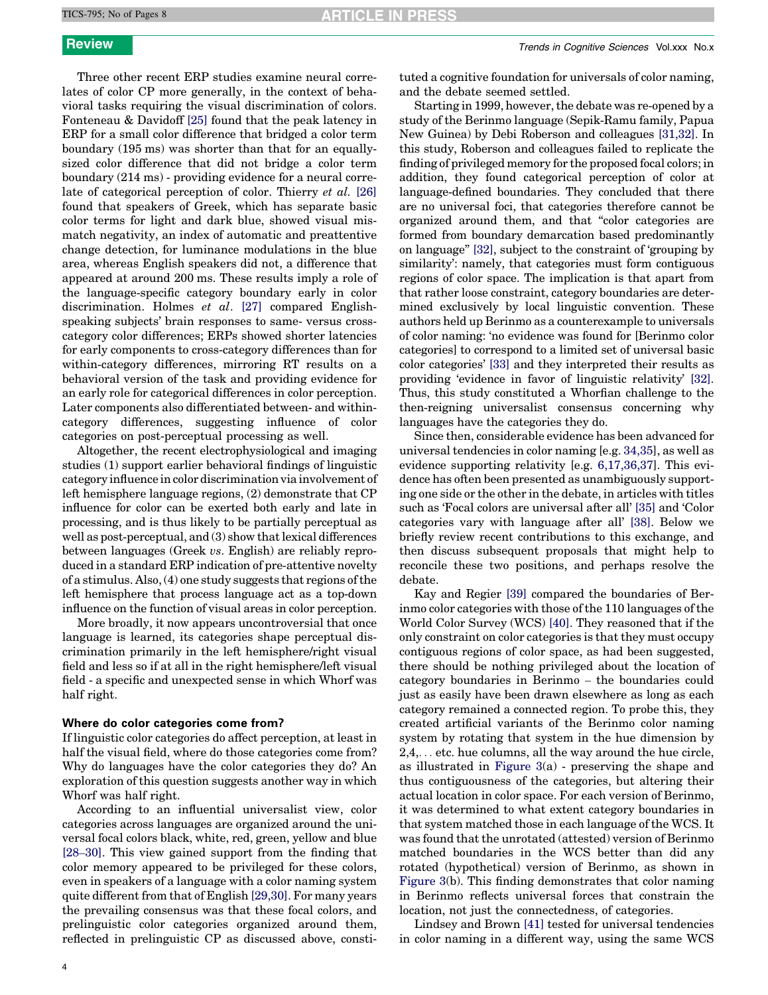Three other recent ERP studies examine neural correlates of color CP more generally, in the context of behavioral tasks requiring the visual discrimination of colors. Fonteneau & Davidoff [\[25\]](#page-6-0) found that the peak latency in ERP for a small color difference that bridged a color term boundary (195 ms) was shorter than that for an equallysized color difference that did not bridge a color term boundary (214 ms) - providing evidence for a neural correlate of categorical perception of color. Thierry et al. [\[26\]](#page-6-0) found that speakers of Greek, which has separate basic color terms for light and dark blue, showed visual mismatch negativity, an index of automatic and preattentive change detection, for luminance modulations in the blue area, whereas English speakers did not, a difference that appeared at around 200 ms. These results imply a role of the language-specific category boundary early in color discrimination. Holmes et al. [\[27\]](#page-6-0) compared Englishspeaking subjects' brain responses to same- versus crosscategory color differences; ERPs showed shorter latencies for early components to cross-category differences than for within-category differences, mirroring RT results on a behavioral version of the task and providing evidence for an early role for categorical differences in color perception. Later components also differentiated between- and withincategory differences, suggesting influence of color categories on post-perceptual processing as well.

Altogether, the recent electrophysiological and imaging studies (1) support earlier behavioral findings of linguistic category influence in color discrimination via involvement of left hemisphere language regions, (2) demonstrate that CP influence for color can be exerted both early and late in processing, and is thus likely to be partially perceptual as well as post-perceptual, and (3) show that lexical differences between languages (Greek vs. English) are reliably reproduced in a standard ERP indication of pre-attentive novelty of a stimulus. Also, (4) one study suggests that regions of the left hemisphere that process language act as a top-down influence on the function of visual areas in color perception.

More broadly, it now appears uncontroversial that once language is learned, its categories shape perceptual discrimination primarily in the left hemisphere/right visual field and less so if at all in the right hemisphere/left visual field - a specific and unexpected sense in which Whorf was half right.

### Where do color categories come from?

If linguistic color categories do affect perception, at least in half the visual field, where do those categories come from? Why do languages have the color categories they do? An exploration of this question suggests another way in which Whorf was half right.

According to an influential universalist view, color categories across languages are organized around the universal focal colors black, white, red, green, yellow and blue [28–[30\]](#page-6-0). This view gained support from the finding that color memory appeared to be privileged for these colors, even in speakers of a language with a color naming system quite different from that of English [\[29,30\].](#page-6-0) For many years the prevailing consensus was that these focal colors, and prelinguistic color categories organized around them, reflected in prelinguistic CP as discussed above, constituted a cognitive foundation for universals of color naming, and the debate seemed settled.

Starting in 1999, however, the debate was re-opened by a study of the Berinmo language (Sepik-Ramu family, Papua New Guinea) by Debi Roberson and colleagues [\[31,32\]](#page-7-0). In this study, Roberson and colleagues failed to replicate the finding of privileged memory for the proposed focal colors; in addition, they found categorical perception of color at language-defined boundaries. They concluded that there are no universal foci, that categories therefore cannot be organized around them, and that ''color categories are formed from boundary demarcation based predominantly on language'' [\[32\],](#page-7-0) subject to the constraint of 'grouping by similarity': namely, that categories must form contiguous regions of color space. The implication is that apart from that rather loose constraint, category boundaries are determined exclusively by local linguistic convention. These authors held up Berinmo as a counterexample to universals of color naming: 'no evidence was found for [Berinmo color categories] to correspond to a limited set of universal basic color categories' [\[33\]](#page-7-0) and they interpreted their results as providing 'evidence in favor of linguistic relativity' [\[32\]](#page-7-0). Thus, this study constituted a Whorfian challenge to the then-reigning universalist consensus concerning why languages have the categories they do.

Since then, considerable evidence has been advanced for universal tendencies in color naming [e.g. [34,35](#page-7-0)], as well as evidence supporting relativity [e.g. [6,17,36,37](#page-6-0)]. This evidence has often been presented as unambiguously supporting one side or the other in the debate, in articles with titles such as 'Focal colors are universal after all' [\[35\]](#page-7-0) and 'Color categories vary with language after all' [\[38\]](#page-7-0). Below we briefly review recent contributions to this exchange, and then discuss subsequent proposals that might help to reconcile these two positions, and perhaps resolve the debate.

Kay and Regier [\[39\]](#page-7-0) compared the boundaries of Berinmo color categories with those of the 110 languages of the World Color Survey (WCS) [\[40\]](#page-7-0). They reasoned that if the only constraint on color categories is that they must occupy contiguous regions of color space, as had been suggested, there should be nothing privileged about the location of category boundaries in Berinmo – the boundaries could just as easily have been drawn elsewhere as long as each category remained a connected region. To probe this, they created artificial variants of the Berinmo color naming system by rotating that system in the hue dimension by 2,4,... etc. hue columns, all the way around the hue circle, as illustrated in [Figure 3\(](#page-4-0)a) - preserving the shape and thus contiguousness of the categories, but altering their actual location in color space. For each version of Berinmo, it was determined to what extent category boundaries in that system matched those in each language of the WCS. It was found that the unrotated (attested) version of Berinmo matched boundaries in the WCS better than did any rotated (hypothetical) version of Berinmo, as shown in [Figure 3\(](#page-4-0)b). This finding demonstrates that color naming in Berinmo reflects universal forces that constrain the location, not just the connectedness, of categories.

Lindsey and Brown [\[41\]](#page-7-0) tested for universal tendencies in color naming in a different way, using the same WCS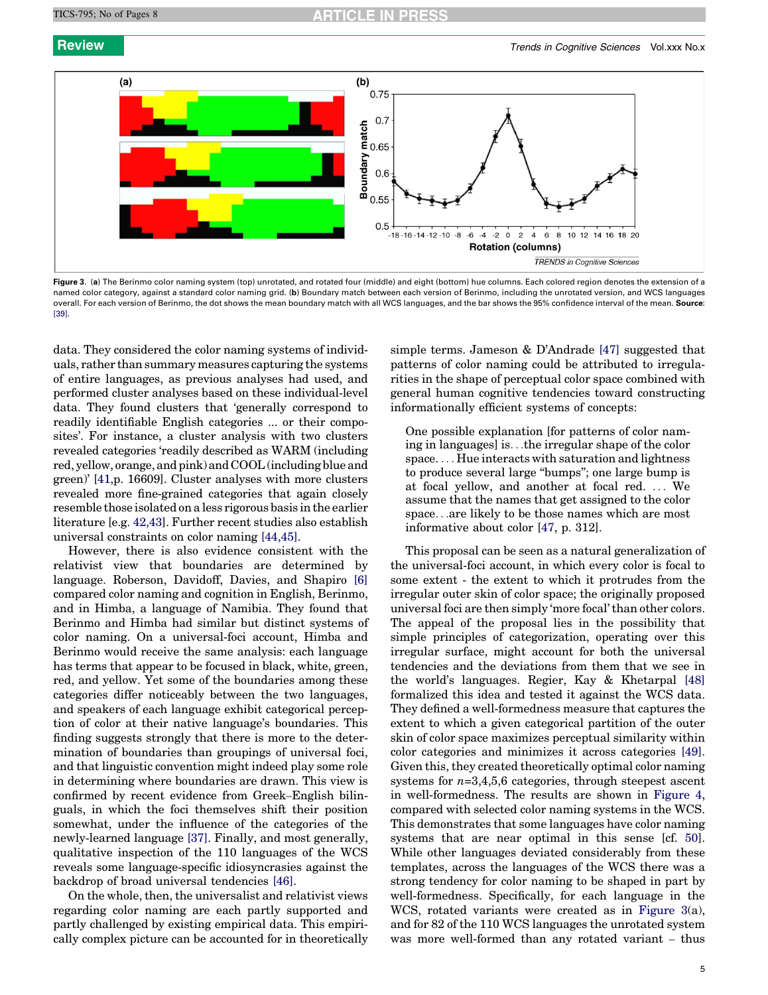<span id="page-4-0"></span>

Figure 3. (a) The Berinmo color naming system (top) unrotated, and rotated four (middle) and eight (bottom) hue columns. Each colored region denotes the extension of a named color category, against a standard color naming grid. (b) Boundary match between each version of Berinmo, including the unrotated version, and WCS languages overall. For each version of Berinmo, the dot shows the mean boundary match with all WCS languages, and the bar shows the 95% confidence interval of the mean. Source: [\[39\].](#page-7-0)

data. They considered the color naming systems of individuals, rather than summary measures capturing the systems of entire languages, as previous analyses had used, and performed cluster analyses based on these individual-level data. They found clusters that 'generally correspond to readily identifiable English categories ... or their composites'. For instance, a cluster analysis with two clusters revealed categories 'readily described as WARM (including red, yellow, orange, and pink) and COOL (including blue and green)' [[41](#page-7-0),p. 16609]. Cluster analyses with more clusters revealed more fine-grained categories that again closely resemble those isolated on a less rigorous basis in the earlier literature [e.g. [42,43](#page-7-0)]. Further recent studies also establish universal constraints on color naming [\[44,45\]](#page-7-0).

However, there is also evidence consistent with the relativist view that boundaries are determined by language. Roberson, Davidoff, Davies, and Shapiro [\[6\]](#page-6-0) compared color naming and cognition in English, Berinmo, and in Himba, a language of Namibia. They found that Berinmo and Himba had similar but distinct systems of color naming. On a universal-foci account, Himba and Berinmo would receive the same analysis: each language has terms that appear to be focused in black, white, green, red, and yellow. Yet some of the boundaries among these categories differ noticeably between the two languages, and speakers of each language exhibit categorical perception of color at their native language's boundaries. This finding suggests strongly that there is more to the determination of boundaries than groupings of universal foci, and that linguistic convention might indeed play some role in determining where boundaries are drawn. This view is confirmed by recent evidence from Greek–English bilinguals, in which the foci themselves shift their position somewhat, under the influence of the categories of the newly-learned language [\[37\].](#page-7-0) Finally, and most generally, qualitative inspection of the 110 languages of the WCS reveals some language-specific idiosyncrasies against the backdrop of broad universal tendencies [\[46\]](#page-7-0).

On the whole, then, the universalist and relativist views regarding color naming are each partly supported and partly challenged by existing empirical data. This empirically complex picture can be accounted for in theoretically

simple terms. Jameson & D'Andrade [\[47\]](#page-7-0) suggested that patterns of color naming could be attributed to irregularities in the shape of perceptual color space combined with general human cognitive tendencies toward constructing informationally efficient systems of concepts:

One possible explanation [for patterns of color naming in languages] is...the irregular shape of the color space. ... Hue interacts with saturation and lightness to produce several large ''bumps''; one large bump is at focal yellow, and another at focal red. ... We assume that the names that get assigned to the color space...are likely to be those names which are most informative about color [[47](#page-7-0), p. 312].

This proposal can be seen as a natural generalization of the universal-foci account, in which every color is focal to some extent - the extent to which it protrudes from the irregular outer skin of color space; the originally proposed universal foci are then simply 'more focal' than other colors. The appeal of the proposal lies in the possibility that simple principles of categorization, operating over this irregular surface, might account for both the universal tendencies and the deviations from them that we see in the world's languages. Regier, Kay & Khetarpal [\[48\]](#page-7-0) formalized this idea and tested it against the WCS data. They defined a well-formedness measure that captures the extent to which a given categorical partition of the outer skin of color space maximizes perceptual similarity within color categories and minimizes it across categories [\[49\]](#page-7-0). Given this, they created theoretically optimal color naming systems for  $n=3,4,5,6$  categories, through steepest ascent in well-formedness. The results are shown in [Figure 4](#page-5-0), compared with selected color naming systems in the WCS. This demonstrates that some languages have color naming systems that are near optimal in this sense [cf. [50\]](#page-7-0). While other languages deviated considerably from these templates, across the languages of the WCS there was a strong tendency for color naming to be shaped in part by well-formedness. Specifically, for each language in the WCS, rotated variants were created as in Figure 3(a), and for 82 of the 110 WCS languages the unrotated system was more well-formed than any rotated variant – thus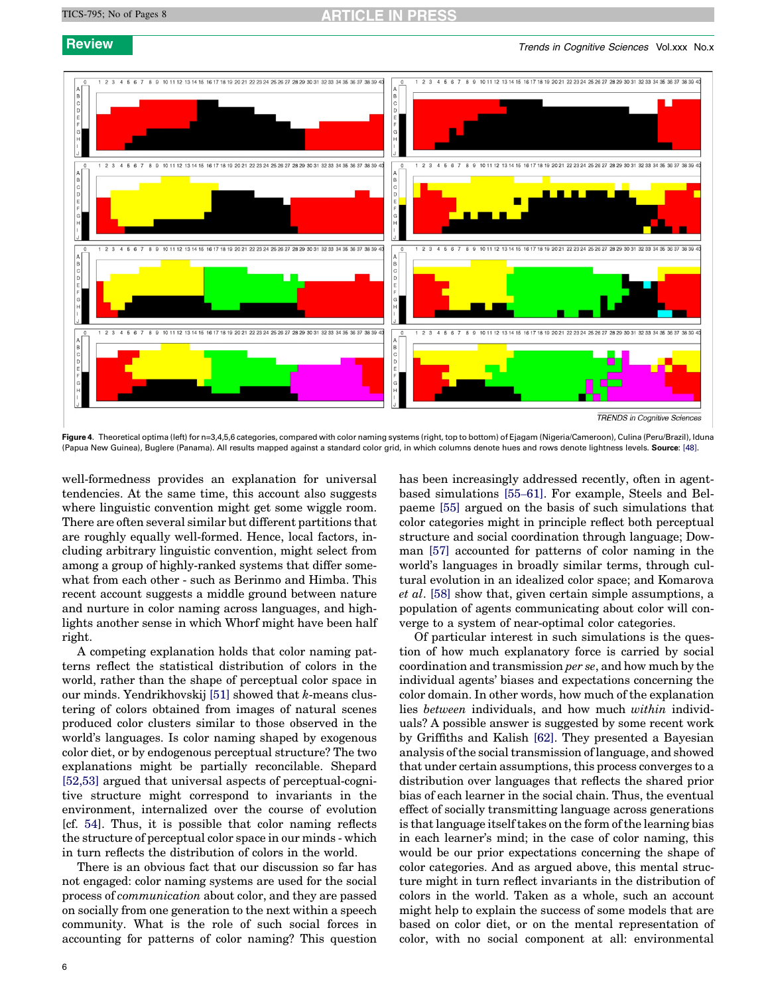<span id="page-5-0"></span>

Figure 4. Theoretical optima (left) for n=3,4,5,6 categories, compared with color naming systems (right, top to bottom) of Ejagam (Nigeria/Cameroon), Culina (Peru/Brazil), Iduna (Papua New Guinea), Buglere (Panama). All results mapped against a standard color grid, in which columns denote hues and rows denote lightness levels. Source: [\[48\]](#page-7-0).

well-formedness provides an explanation for universal tendencies. At the same time, this account also suggests where linguistic convention might get some wiggle room. There are often several similar but different partitions that are roughly equally well-formed. Hence, local factors, including arbitrary linguistic convention, might select from among a group of highly-ranked systems that differ somewhat from each other - such as Berinmo and Himba. This recent account suggests a middle ground between nature and nurture in color naming across languages, and highlights another sense in which Whorf might have been half right.

A competing explanation holds that color naming patterns reflect the statistical distribution of colors in the world, rather than the shape of perceptual color space in our minds. Yendrikhovskij  $[51]$  showed that k-means clustering of colors obtained from images of natural scenes produced color clusters similar to those observed in the world's languages. Is color naming shaped by exogenous color diet, or by endogenous perceptual structure? The two explanations might be partially reconcilable. Shepard [\[52,53\]](#page-7-0) argued that universal aspects of perceptual-cognitive structure might correspond to invariants in the environment, internalized over the course of evolution [cf. [54\]](#page-7-0). Thus, it is possible that color naming reflects the structure of perceptual color space in our minds - which in turn reflects the distribution of colors in the world.

There is an obvious fact that our discussion so far has not engaged: color naming systems are used for the social process of communication about color, and they are passed on socially from one generation to the next within a speech community. What is the role of such social forces in accounting for patterns of color naming? This question has been increasingly addressed recently, often in agentbased simulations [55–[61\].](#page-7-0) For example, Steels and Belpaeme [\[55\]](#page-7-0) argued on the basis of such simulations that color categories might in principle reflect both perceptual structure and social coordination through language; Dowman [\[57\]](#page-7-0) accounted for patterns of color naming in the world's languages in broadly similar terms, through cultural evolution in an idealized color space; and Komarova et al. [\[58\]](#page-7-0) show that, given certain simple assumptions, a population of agents communicating about color will converge to a system of near-optimal color categories.

Of particular interest in such simulations is the question of how much explanatory force is carried by social coordination and transmission per se, and how much by the individual agents' biases and expectations concerning the color domain. In other words, how much of the explanation lies between individuals, and how much within individuals? A possible answer is suggested by some recent work by Griffiths and Kalish [\[62\]](#page-7-0). They presented a Bayesian analysis of the social transmission of language, and showed that under certain assumptions, this process converges to a distribution over languages that reflects the shared prior bias of each learner in the social chain. Thus, the eventual effect of socially transmitting language across generations is that language itself takes on the form of the learning bias in each learner's mind; in the case of color naming, this would be our prior expectations concerning the shape of color categories. And as argued above, this mental structure might in turn reflect invariants in the distribution of colors in the world. Taken as a whole, such an account might help to explain the success of some models that are based on color diet, or on the mental representation of color, with no social component at all: environmental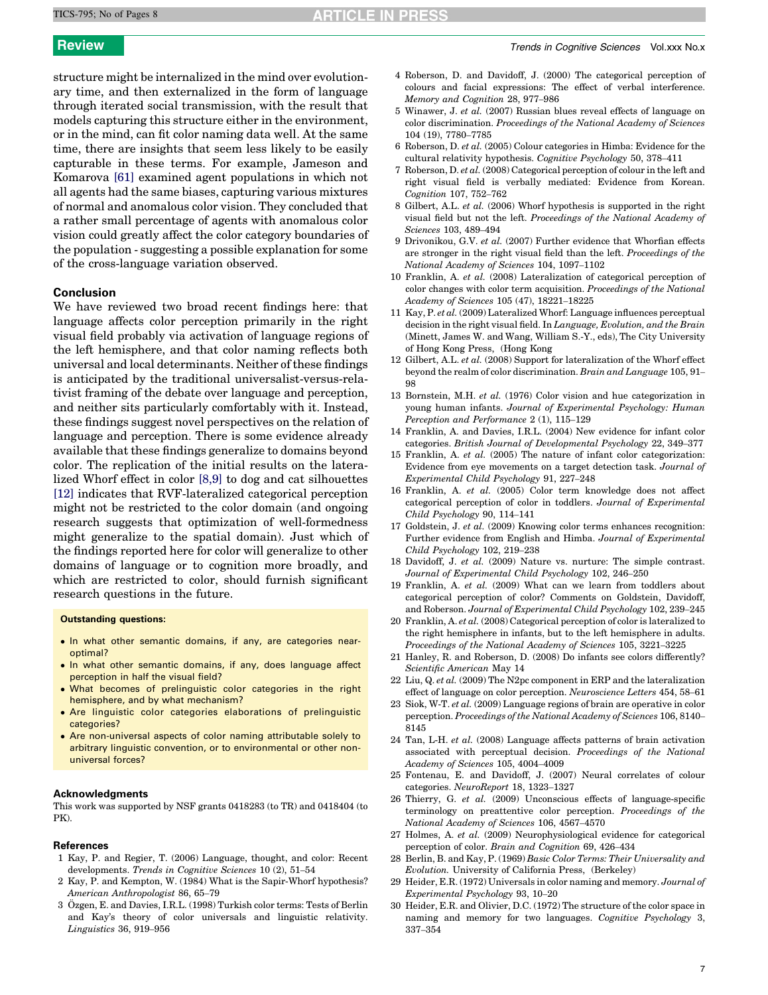<span id="page-6-0"></span>structure might be internalized in the mind over evolutionary time, and then externalized in the form of language through iterated social transmission, with the result that models capturing this structure either in the environment, or in the mind, can fit color naming data well. At the same time, there are insights that seem less likely to be easily capturable in these terms. For example, Jameson and Komarova [\[61\]](#page-7-0) examined agent populations in which not all agents had the same biases, capturing various mixtures of normal and anomalous color vision. They concluded that a rather small percentage of agents with anomalous color vision could greatly affect the color category boundaries of the population - suggesting a possible explanation for some of the cross-language variation observed.

### Conclusion

We have reviewed two broad recent findings here: that language affects color perception primarily in the right visual field probably via activation of language regions of the left hemisphere, and that color naming reflects both universal and local determinants. Neither of these findings is anticipated by the traditional universalist-versus-relativist framing of the debate over language and perception, and neither sits particularly comfortably with it. Instead, these findings suggest novel perspectives on the relation of language and perception. There is some evidence already available that these findings generalize to domains beyond color. The replication of the initial results on the lateralized Whorf effect in color [8,9] to dog and cat silhouettes [12] indicates that RVF-lateralized categorical perception might not be restricted to the color domain (and ongoing research suggests that optimization of well-formedness might generalize to the spatial domain). Just which of the findings reported here for color will generalize to other domains of language or to cognition more broadly, and which are restricted to color, should furnish significant research questions in the future.

### Outstanding questions:

- In what other semantic domains, if any, are categories nearoptimal?
- In what other semantic domains, if any, does language affect perception in half the visual field?
- What becomes of prelinguistic color categories in the right hemisphere, and by what mechanism?
- Are linguistic color categories elaborations of prelinguistic categories?
- Are non-universal aspects of color naming attributable solely to arbitrary linguistic convention, or to environmental or other nonuniversal forces?

### Acknowledgments

This work was supported by NSF grants 0418283 (to TR) and 0418404 (to PK).

### References

- 1 Kay, P. and Regier, T. (2006) Language, thought, and color: Recent developments. Trends in Cognitive Sciences 10 (2), 51–54
- 2 Kay, P. and Kempton, W. (1984) What is the Sapir-Whorf hypothesis? American Anthropologist 86, 65–79
- 3 Özgen, E. and Davies, I.R.L. (1998) Turkish color terms: Tests of Berlin and Kay's theory of color universals and linguistic relativity. Linguistics 36, 919–956
- 4 Roberson, D. and Davidoff, J. (2000) The categorical perception of colours and facial expressions: The effect of verbal interference. Memory and Cognition 28, 977–986
- 5 Winawer, J. et al. (2007) Russian blues reveal effects of language on color discrimination. Proceedings of the National Academy of Sciences 104 (19), 7780–7785
- 6 Roberson, D. et al. (2005) Colour categories in Himba: Evidence for the cultural relativity hypothesis. Cognitive Psychology 50, 378–411
- 7 Roberson, D. et al. (2008) Categorical perception of colour in the left and right visual field is verbally mediated: Evidence from Korean. Cognition 107, 752–762
- 8 Gilbert, A.L. et al. (2006) Whorf hypothesis is supported in the right visual field but not the left. Proceedings of the National Academy of Sciences 103, 489–494
- 9 Drivonikou, G.V. et al. (2007) Further evidence that Whorfian effects are stronger in the right visual field than the left. Proceedings of the National Academy of Sciences 104, 1097–1102
- 10 Franklin, A. et al. (2008) Lateralization of categorical perception of color changes with color term acquisition. Proceedings of the National Academy of Sciences 105 (47), 18221–18225
- 11 Kay, P. et al. (2009) Lateralized Whorf: Language influences perceptual decision in the right visual field. In Language, Evolution, and the Brain (Minett, James W. and Wang, William S.-Y., eds), The City University of Hong Kong Press, (Hong Kong
- 12 Gilbert, A.L. et al. (2008) Support for lateralization of the Whorf effect beyond the realm of color discrimination. Brain and Language 105, 91– 98
- 13 Bornstein, M.H. et al. (1976) Color vision and hue categorization in young human infants. Journal of Experimental Psychology: Human Perception and Performance 2 (1), 115–129
- 14 Franklin, A. and Davies, I.R.L. (2004) New evidence for infant color categories. British Journal of Developmental Psychology 22, 349–377
- 15 Franklin, A. et al. (2005) The nature of infant color categorization: Evidence from eye movements on a target detection task. Journal of Experimental Child Psychology 91, 227–248
- 16 Franklin, A. et al. (2005) Color term knowledge does not affect categorical perception of color in toddlers. Journal of Experimental Child Psychology 90, 114–141
- 17 Goldstein, J. et al. (2009) Knowing color terms enhances recognition: Further evidence from English and Himba. Journal of Experimental Child Psychology 102, 219–238
- 18 Davidoff, J. et al. (2009) Nature vs. nurture: The simple contrast. Journal of Experimental Child Psychology 102, 246–250
- 19 Franklin, A. et al. (2009) What can we learn from toddlers about categorical perception of color? Comments on Goldstein, Davidoff, and Roberson. Journal of Experimental Child Psychology 102, 239–245
- 20 Franklin, A. et al. (2008) Categorical perception of color is lateralized to the right hemisphere in infants, but to the left hemisphere in adults. Proceedings of the National Academy of Sciences 105, 3221–3225
- 21 Hanley, R. and Roberson, D. (2008) Do infants see colors differently? Scientific American May 14
- 22 Liu, Q. et al. (2009) The N2pc component in ERP and the lateralization effect of language on color perception. Neuroscience Letters 454, 58–61
- 23 Siok, W-T. et al. (2009) Language regions of brain are operative in color perception. Proceedings of the National Academy of Sciences 106, 8140– 8145
- 24 Tan, L-H. et al. (2008) Language affects patterns of brain activation associated with perceptual decision. Proceedings of the National Academy of Sciences 105, 4004–4009
- 25 Fontenau, E. and Davidoff, J. (2007) Neural correlates of colour categories. NeuroReport 18, 1323–1327
- 26 Thierry, G. et al. (2009) Unconscious effects of language-specific terminology on preattentive color perception. Proceedings of the National Academy of Sciences 106, 4567–4570
- 27 Holmes, A. et al. (2009) Neurophysiological evidence for categorical perception of color. Brain and Cognition 69, 426–434
- 28 Berlin, B. and Kay, P. (1969) Basic Color Terms: Their Universality and Evolution. University of California Press, (Berkeley)
- 29 Heider, E.R. (1972) Universals in color naming and memory. Journal of Experimental Psychology 93, 10–20
- 30 Heider, E.R. and Olivier, D.C. (1972) The structure of the color space in naming and memory for two languages. Cognitive Psychology 3, 337–354